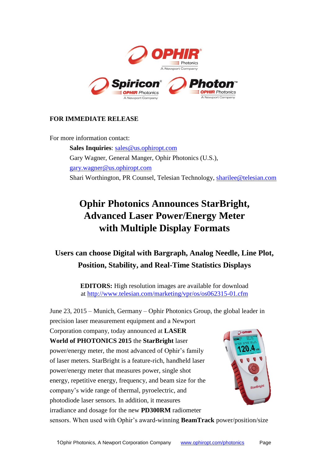

### **FOR IMMEDIATE RELEASE**

For more information contact: **Sales Inquiries**: [sales@us.ophiropt.com](mailto:sales@us.ophiropt.com) Gary Wagner, General Manger, Ophir Photonics (U.S.), [gary.wagner@us.ophiropt.com](mailto:gary.wagner@us.ophiropt.com) Shari Worthington, PR Counsel, Telesian Technology, [sharilee@telesian.com](mailto:sharilee@telesian.com)

# **Ophir Photonics Announces StarBright, Advanced Laser Power/Energy Meter with Multiple Display Formats**

## **Users can choose Digital with Bargraph, Analog Needle, Line Plot, Position, Stability, and Real-Time Statistics Displays**

**EDITORS:** High resolution images are available for download at<http://www.telesian.com/marketing/vpr/os/os062315-01.cfm>

June 23, 2015 – Munich, Germany – Ophir Photonics Group, the global leader in precision laser measurement equipment and a Newport

Corporation company, today announced at **LASER**

**World of PHOTONICS 2015** the **StarBright** laser power/energy meter, the most advanced of Ophir's family of laser meters. StarBright is a feature-rich, handheld laser power/energy meter that measures power, single shot energy, repetitive energy, frequency, and beam size for the company's wide range of thermal, pyroelectric, and photodiode laser sensors. In addition, it measures irradiance and dosage for the new **PD300RM** radiometer



sensors. When used with Ophir's award-winning **BeamTrack** power/position/size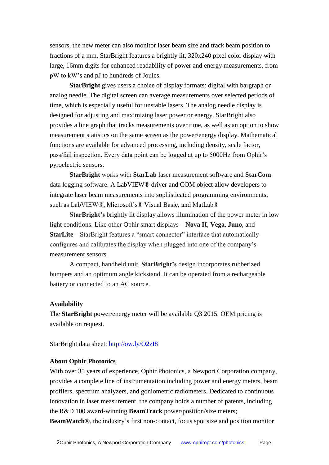sensors, the new meter can also monitor laser beam size and track beam position to fractions of a mm. StarBright features a brightly lit, 320x240 pixel color display with large, 16mm digits for enhanced readability of power and energy measurements, from pW to kW's and pJ to hundreds of Joules.

**StarBright** gives users a choice of display formats: digital with bargraph or analog needle. The digital screen can average measurements over selected periods of time, which is especially useful for unstable lasers. The analog needle display is designed for adjusting and maximizing laser power or energy. StarBright also provides a line graph that tracks measurements over time, as well as an option to show measurement statistics on the same screen as the power/energy display. Mathematical functions are available for advanced processing, including density, scale factor, pass/fail inspection. Every data point can be logged at up to 5000Hz from Ophir's pyroelectric sensors.

**StarBright** works with **StarLab** laser measurement software and **StarCom** data logging software. A LabVIEW® driver and COM object allow developers to integrate laser beam measurements into sophisticated programming environments, such as LabVIEW®, Microsoft's® Visual Basic, and MatLab®

**StarBright's** brightly lit display allows illumination of the power meter in low light conditions. Like other Ophir smart displays – **Nova II**, **Vega**, **Juno**, and **StarLite** – StarBright features a "smart connector" interface that automatically configures and calibrates the display when plugged into one of the company's measurement sensors.

A compact, handheld unit, **StarBright's** design incorporates rubberized bumpers and an optimum angle kickstand. It can be operated from a rechargeable battery or connected to an AC source.

#### **Availability**

The **StarBright** power/energy meter will be available Q3 2015. OEM pricing is available on request.

StarBright data sheet:<http://ow.ly/O2zI8>

#### **About Ophir Photonics**

With over 35 years of experience, Ophir Photonics, a Newport Corporation company, provides a complete line of instrumentation including power and energy meters, beam profilers, spectrum analyzers, and goniometric radiometers. Dedicated to continuous innovation in laser measurement, the company holds a number of patents, including the R&D 100 award-winning **BeamTrack** power/position/size meters; **BeamWatch**®, the industry's first non-contact, focus spot size and position monitor